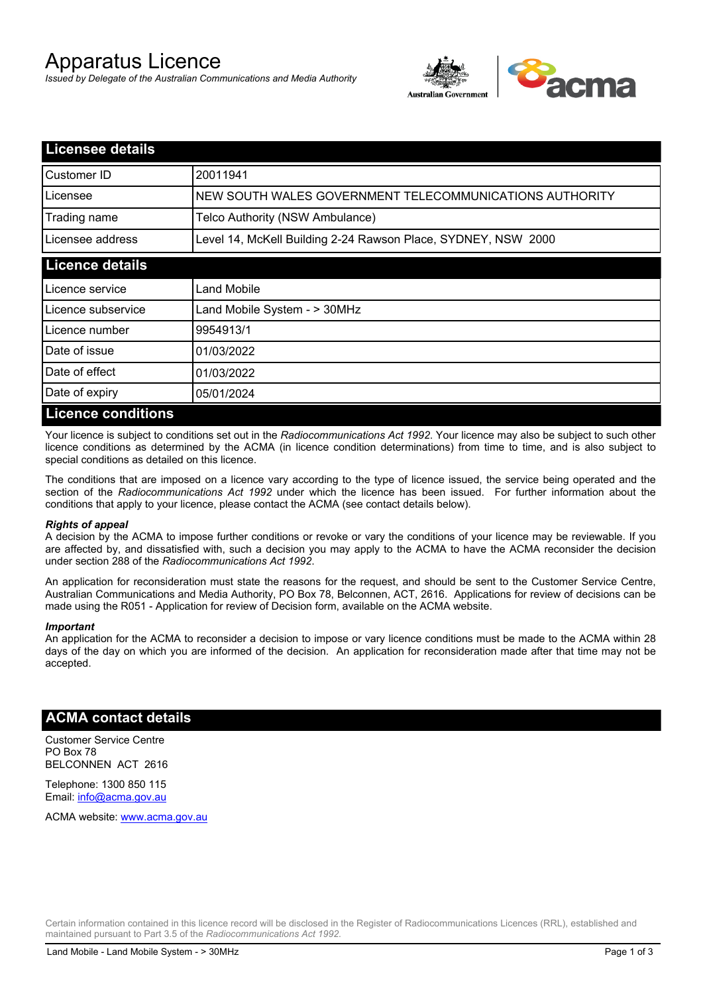# Apparatus Licence

*Issued by Delegate of the Australian Communications and Media Authority*



| <b>Licensee details</b>   |                                                               |  |
|---------------------------|---------------------------------------------------------------|--|
| Customer ID               | 20011941                                                      |  |
| Licensee                  | NEW SOUTH WALES GOVERNMENT TELECOMMUNICATIONS AUTHORITY       |  |
| Trading name              | Telco Authority (NSW Ambulance)                               |  |
| Licensee address          | Level 14, McKell Building 2-24 Rawson Place, SYDNEY, NSW 2000 |  |
| <b>Licence details</b>    |                                                               |  |
| Licence service           | Land Mobile                                                   |  |
| Licence subservice        | Land Mobile System - > 30MHz                                  |  |
| Licence number            | 9954913/1                                                     |  |
| Date of issue             | 01/03/2022                                                    |  |
| Date of effect            | 01/03/2022                                                    |  |
| Date of expiry            | 05/01/2024                                                    |  |
| <b>Licence conditions</b> |                                                               |  |

Your licence is subject to conditions set out in the *Radiocommunications Act 1992*. Your licence may also be subject to such other licence conditions as determined by the ACMA (in licence condition determinations) from time to time, and is also subject to special conditions as detailed on this licence.

The conditions that are imposed on a licence vary according to the type of licence issued, the service being operated and the section of the *Radiocommunications Act 1992* under which the licence has been issued. For further information about the conditions that apply to your licence, please contact the ACMA (see contact details below).

#### *Rights of appeal*

A decision by the ACMA to impose further conditions or revoke or vary the conditions of your licence may be reviewable. If you are affected by, and dissatisfied with, such a decision you may apply to the ACMA to have the ACMA reconsider the decision under section 288 of the *Radiocommunications Act 1992*.

An application for reconsideration must state the reasons for the request, and should be sent to the Customer Service Centre, Australian Communications and Media Authority, PO Box 78, Belconnen, ACT, 2616. Applications for review of decisions can be made using the R051 - Application for review of Decision form, available on the ACMA website.

#### *Important*

An application for the ACMA to reconsider a decision to impose or vary licence conditions must be made to the ACMA within 28 days of the day on which you are informed of the decision. An application for reconsideration made after that time may not be accepted.

### **ACMA contact details**

Customer Service Centre PO Box 78 BELCONNEN ACT 2616

Telephone: 1300 850 115 Email: info@acma.gov.au

ACMA website: www.acma.gov.au

Certain information contained in this licence record will be disclosed in the Register of Radiocommunications Licences (RRL), established and maintained pursuant to Part 3.5 of the *Radiocommunications Act 1992.*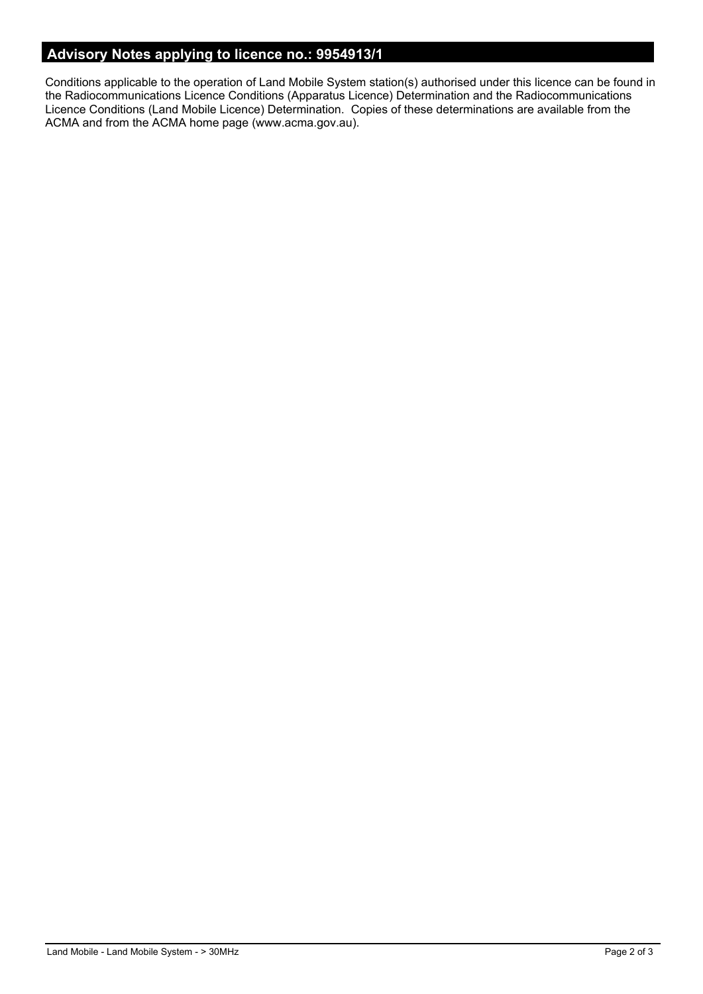# **Advisory Notes applying to licence no.: 9954913/1**

Conditions applicable to the operation of Land Mobile System station(s) authorised under this licence can be found in the Radiocommunications Licence Conditions (Apparatus Licence) Determination and the Radiocommunications Licence Conditions (Land Mobile Licence) Determination. Copies of these determinations are available from the ACMA and from the ACMA home page (www.acma.gov.au).